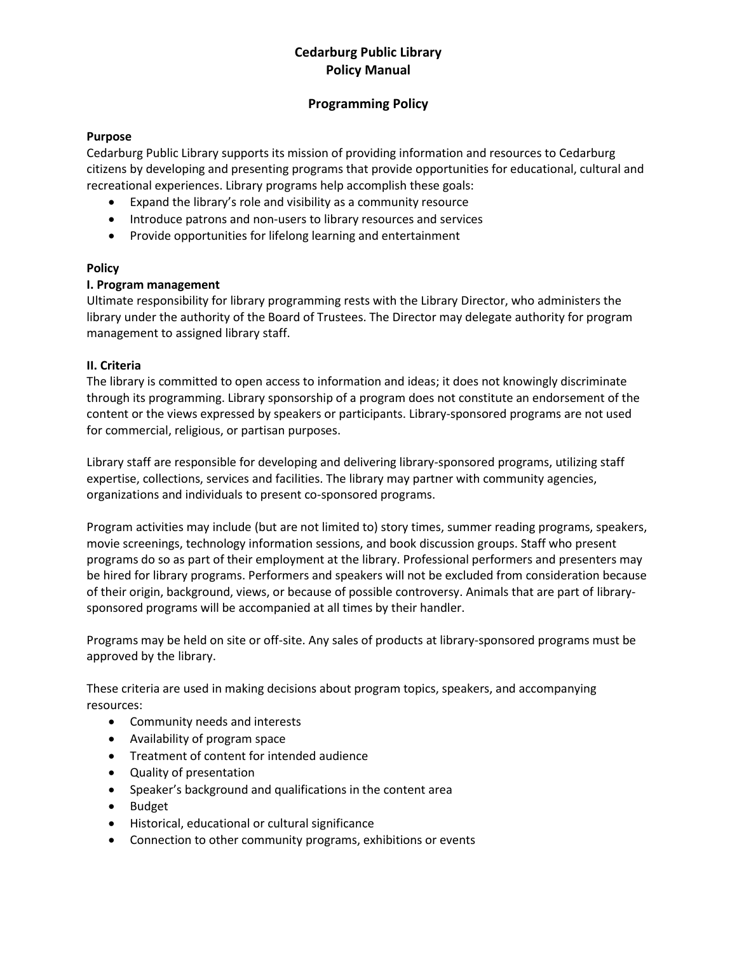# **Cedarburg Public Library Policy Manual**

### **Programming Policy**

### **Purpose**

Cedarburg Public Library supports its mission of providing information and resources to Cedarburg citizens by developing and presenting programs that provide opportunities for educational, cultural and recreational experiences. Library programs help accomplish these goals:

- Expand the library's role and visibility as a community resource
- Introduce patrons and non-users to library resources and services
- Provide opportunities for lifelong learning and entertainment

### **Policy**

### **I. Program management**

Ultimate responsibility for library programming rests with the Library Director, who administers the library under the authority of the Board of Trustees. The Director may delegate authority for program management to assigned library staff.

### **II. Criteria**

The library is committed to open access to information and ideas; it does not knowingly discriminate through its programming. Library sponsorship of a program does not constitute an endorsement of the content or the views expressed by speakers or participants. Library-sponsored programs are not used for commercial, religious, or partisan purposes.

Library staff are responsible for developing and delivering library-sponsored programs, utilizing staff expertise, collections, services and facilities. The library may partner with community agencies, organizations and individuals to present co-sponsored programs.

Program activities may include (but are not limited to) story times, summer reading programs, speakers, movie screenings, technology information sessions, and book discussion groups. Staff who present programs do so as part of their employment at the library. Professional performers and presenters may be hired for library programs. Performers and speakers will not be excluded from consideration because of their origin, background, views, or because of possible controversy. Animals that are part of librarysponsored programs will be accompanied at all times by their handler.

Programs may be held on site or off-site. Any sales of products at library-sponsored programs must be approved by the library.

These criteria are used in making decisions about program topics, speakers, and accompanying resources:

- Community needs and interests
- Availability of program space
- Treatment of content for intended audience
- Quality of presentation
- Speaker's background and qualifications in the content area
- Budget
- Historical, educational or cultural significance
- Connection to other community programs, exhibitions or events